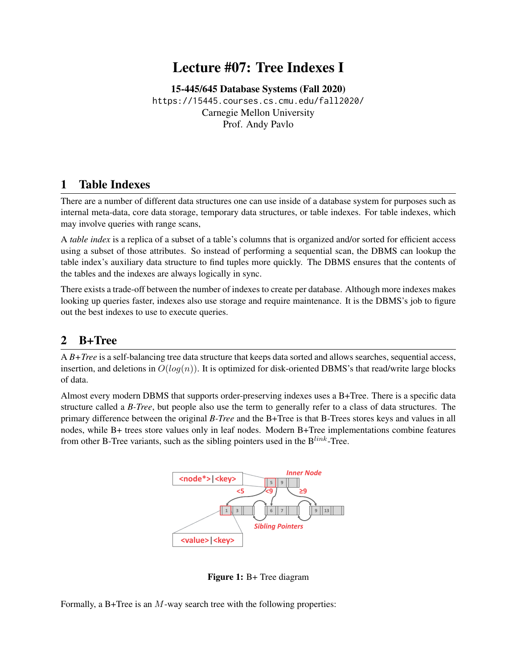# Lecture #07: Tree Indexes I

[15-445/645 Database Systems \(Fall 2020\)](https://15445.courses.cs.cmu.edu/fall2020/) <https://15445.courses.cs.cmu.edu/fall2020/> Carnegie Mellon University [Prof. Andy Pavlo](http://www.cs.cmu.edu/~pavlo/)

## 1 Table Indexes

There are a number of different data structures one can use inside of a database system for purposes such as internal meta-data, core data storage, temporary data structures, or table indexes. For table indexes, which may involve queries with range scans,

A *table index* is a replica of a subset of a table's columns that is organized and/or sorted for efficient access using a subset of those attributes. So instead of performing a sequential scan, the DBMS can lookup the table index's auxiliary data structure to find tuples more quickly. The DBMS ensures that the contents of the tables and the indexes are always logically in sync.

There exists a trade-off between the number of indexes to create per database. Although more indexes makes looking up queries faster, indexes also use storage and require maintenance. It is the DBMS's job to figure out the best indexes to use to execute queries.

### 2 B+Tree

A *B+Tree* is a self-balancing tree data structure that keeps data sorted and allows searches, sequential access, insertion, and deletions in  $O(log(n))$ . It is optimized for disk-oriented DBMS's that read/write large blocks of data.

Almost every modern DBMS that supports order-preserving indexes uses a B+Tree. There is a specific data structure called a *B-Tree*, but people also use the term to generally refer to a class of data structures. The primary difference between the original *B-Tree* and the B+Tree is that B-Trees stores keys and values in all nodes, while B+ trees store values only in leaf nodes. Modern B+Tree implementations combine features from other B-Tree variants, such as the sibling pointers used in the  $B^{link}$ -Tree.



Figure 1: B+ Tree diagram

Formally, a B+Tree is an  $M$ -way search tree with the following properties: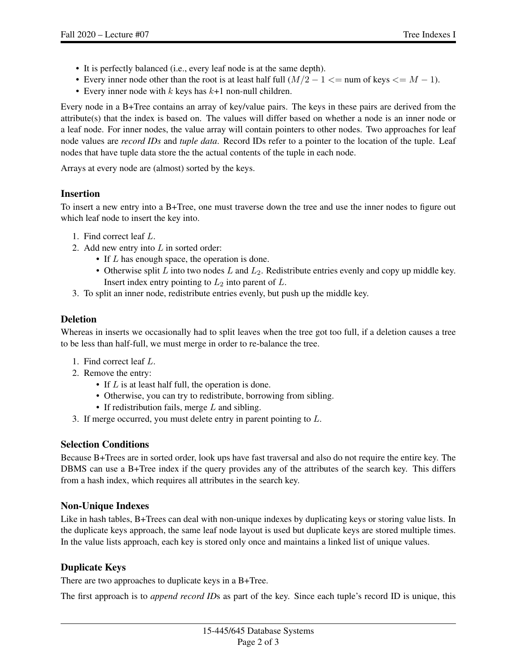- It is perfectly balanced (i.e., every leaf node is at the same depth).
- Every inner node other than the root is at least half full  $(M/2 1 \le$  num of keys  $\le$  = M 1).
- Every inner node with  $k$  keys has  $k+1$  non-null children.

Every node in a B+Tree contains an array of key/value pairs. The keys in these pairs are derived from the attribute(s) that the index is based on. The values will differ based on whether a node is an inner node or a leaf node. For inner nodes, the value array will contain pointers to other nodes. Two approaches for leaf node values are *record IDs* and *tuple data*. Record IDs refer to a pointer to the location of the tuple. Leaf nodes that have tuple data store the the actual contents of the tuple in each node.

Arrays at every node are (almost) sorted by the keys.

#### Insertion

To insert a new entry into a B+Tree, one must traverse down the tree and use the inner nodes to figure out which leaf node to insert the key into.

- 1. Find correct leaf L.
- 2. Add new entry into  $L$  in sorted order:
	- If *L* has enough space, the operation is done.
	- Otherwise split  $L$  into two nodes  $L$  and  $L_2$ . Redistribute entries evenly and copy up middle key. Insert index entry pointing to  $L_2$  into parent of  $L$ .
- 3. To split an inner node, redistribute entries evenly, but push up the middle key.

#### **Deletion**

Whereas in inserts we occasionally had to split leaves when the tree got too full, if a deletion causes a tree to be less than half-full, we must merge in order to re-balance the tree.

- 1. Find correct leaf L.
- 2. Remove the entry:
	- If  $L$  is at least half full, the operation is done.
	- Otherwise, you can try to redistribute, borrowing from sibling.
	- If redistribution fails, merge  $L$  and sibling.
- 3. If merge occurred, you must delete entry in parent pointing to L.

#### Selection Conditions

Because B+Trees are in sorted order, look ups have fast traversal and also do not require the entire key. The DBMS can use a B+Tree index if the query provides any of the attributes of the search key. This differs from a hash index, which requires all attributes in the search key.

#### Non-Unique Indexes

Like in hash tables, B+Trees can deal with non-unique indexes by duplicating keys or storing value lists. In the duplicate keys approach, the same leaf node layout is used but duplicate keys are stored multiple times. In the value lists approach, each key is stored only once and maintains a linked list of unique values.

#### Duplicate Keys

There are two approaches to duplicate keys in a B+Tree.

The first approach is to *append record ID*s as part of the key. Since each tuple's record ID is unique, this